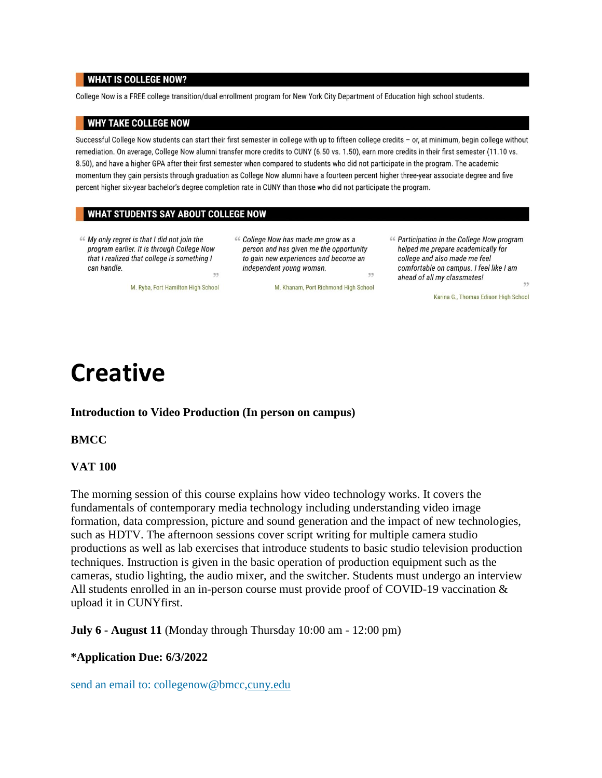#### **WHAT IS COLLEGE NOW?**

College Now is a FREE college transition/dual enrollment program for New York City Department of Education high school students.

#### **WHY TAKE COLLEGE NOW**

Successful College Now students can start their first semester in college with up to fifteen college credits - or, at minimum, begin college without remediation. On average, College Now alumni transfer more credits to CUNY (6.50 vs. 1.50), earn more credits in their first semester (11.10 vs. 8.50), and have a higher GPA after their first semester when compared to students who did not participate in the program. The academic momentum they gain persists through graduation as College Now alumni have a fourteen percent higher three-year associate degree and five percent higher six-year bachelor's degree completion rate in CUNY than those who did not participate the program.

#### WHAT STUDENTS SAY ABOUT COLLEGE NOW

M. Ryba, Fort Hamilton High School

« My only regret is that I did not join the program earlier. It is through College Now that I realized that college is something I can handle. 33 « College Now has made me grow as a person and has given me the opportunity to gain new experiences and become an independent young woman. 33

M. Khanam, Port Richmond High School

« Participation in the College Now program helped me prepare academically for college and also made me feel comfortable on campus. I feel like I am ahead of all my classmates! 33

Karina G., Thomas Edison High School

## **Creative**

**Introduction to Video Production (In person on campus)**

#### **BMCC**

#### **VAT 100**

The morning session of this course explains how video technology works. It covers the fundamentals of contemporary media technology including understanding video image formation, data compression, picture and sound generation and the impact of new technologies, such as HDTV. The afternoon sessions cover script writing for multiple camera studio productions as well as lab exercises that introduce students to basic studio television production techniques. Instruction is given in the basic operation of production equipment such as the cameras, studio lighting, the audio mixer, and the switcher. Students must undergo an interview All students enrolled in an in-person course must provide proof of COVID-19 vaccination & upload it in CUNYfirst.

**July 6 - August 11** (Monday through Thursday 10:00 am - 12:00 pm)

#### **\*Application Due: 6/3/2022**

send an email to: collegenow@bmcc,cuny.edu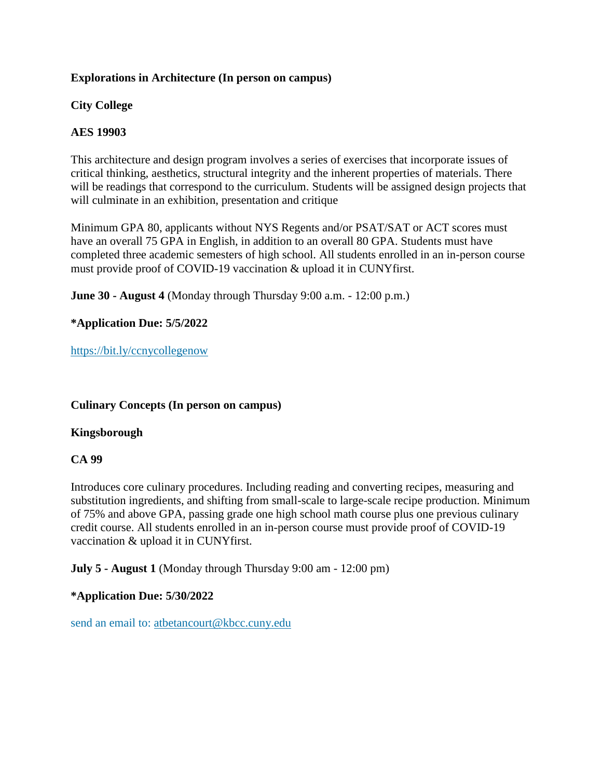#### **Explorations in Architecture (In person on campus)**

#### **City College**

### **AES 19903**

This architecture and design program involves a series of exercises that incorporate issues of critical thinking, aesthetics, structural integrity and the inherent properties of materials. There will be readings that correspond to the curriculum. Students will be assigned design projects that will culminate in an exhibition, presentation and critique

Minimum GPA 80, applicants without NYS Regents and/or PSAT/SAT or ACT scores must have an overall 75 GPA in English, in addition to an overall 80 GPA. Students must have completed three academic semesters of high school. All students enrolled in an in-person course must provide proof of COVID-19 vaccination & upload it in CUNYfirst.

**June 30 - August 4** (Monday through Thursday 9:00 a.m. - 12:00 p.m.)

**\*Application Due: 5/5/2022**

https://bit.ly/ccnycollegenow

#### **Culinary Concepts (In person on campus)**

#### **Kingsborough**

### **CA 99**

Introduces core culinary procedures. Including reading and converting recipes, measuring and substitution ingredients, and shifting from small-scale to large-scale recipe production. Minimum of 75% and above GPA, passing grade one high school math course plus one previous culinary credit course. All students enrolled in an in-person course must provide proof of COVID-19 vaccination & upload it in CUNYfirst.

**July 5 - August 1** (Monday through Thursday 9:00 am - 12:00 pm)

#### **\*Application Due: 5/30/2022**

send an email to: atbetancourt@kbcc.cuny.edu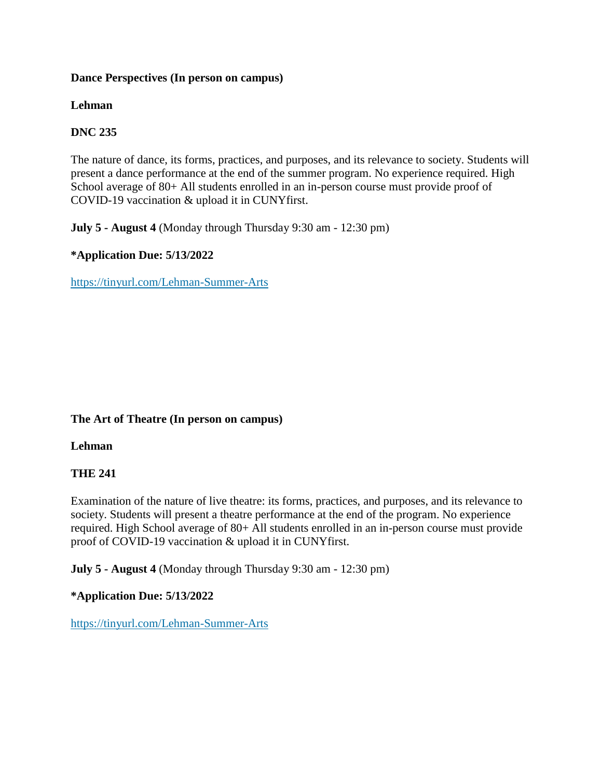#### **Dance Perspectives (In person on campus)**

### **Lehman**

## **DNC 235**

The nature of dance, its forms, practices, and purposes, and its relevance to society. Students will present a dance performance at the end of the summer program. No experience required. High School average of 80+ All students enrolled in an in-person course must provide proof of COVID-19 vaccination & upload it in CUNYfirst.

**July 5 - August 4** (Monday through Thursday 9:30 am - 12:30 pm)

## **\*Application Due: 5/13/2022**

https://tinyurl.com/Lehman-Summer-Arts

### **The Art of Theatre (In person on campus)**

### **Lehman**

## **THE 241**

Examination of the nature of live theatre: its forms, practices, and purposes, and its relevance to society. Students will present a theatre performance at the end of the program. No experience required. High School average of 80+ All students enrolled in an in-person course must provide proof of COVID-19 vaccination & upload it in CUNYfirst.

**July 5 - August 4** (Monday through Thursday 9:30 am - 12:30 pm)

### **\*Application Due: 5/13/2022**

https://tinyurl.com/Lehman-Summer-Arts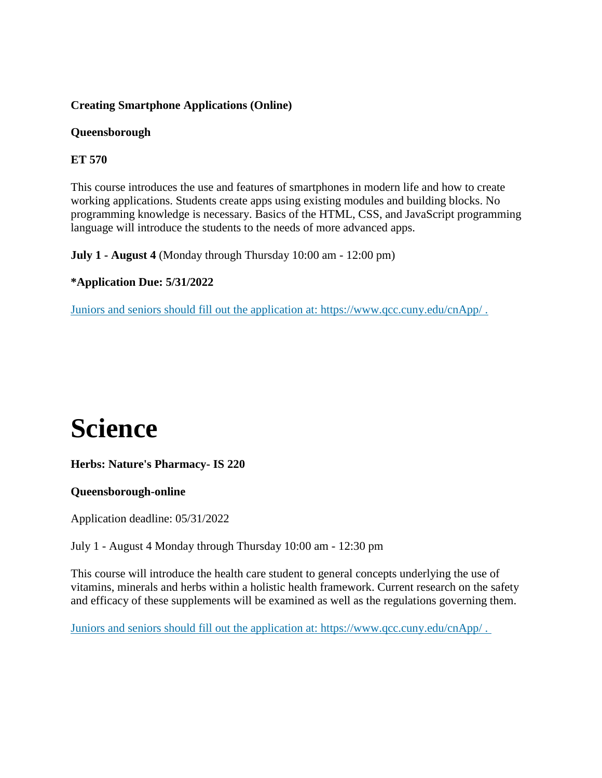## **Creating Smartphone Applications (Online)**

#### **Queensborough**

## **ET 570**

This course introduces the use and features of smartphones in modern life and how to create working applications. Students create apps using existing modules and building blocks. No programming knowledge is necessary. Basics of the HTML, CSS, and JavaScript programming language will introduce the students to the needs of more advanced apps.

**July 1 - August 4** (Monday through Thursday 10:00 am - 12:00 pm)

### **\*Application Due: 5/31/2022**

Juniors and seniors should fill out the application at: https://www.qcc.cuny.edu/cnApp/ .

# **Science**

### **Herbs: Nature's Pharmacy- IS 220**

### **Queensborough-online**

Application deadline: 05/31/2022

July 1 - August 4 Monday through Thursday 10:00 am - 12:30 pm

This course will introduce the health care student to general concepts underlying the use of vitamins, minerals and herbs within a holistic health framework. Current research on the safety and efficacy of these supplements will be examined as well as the regulations governing them.

Juniors and seniors should fill out the application at: https://www.qcc.cuny.edu/cnApp/ .